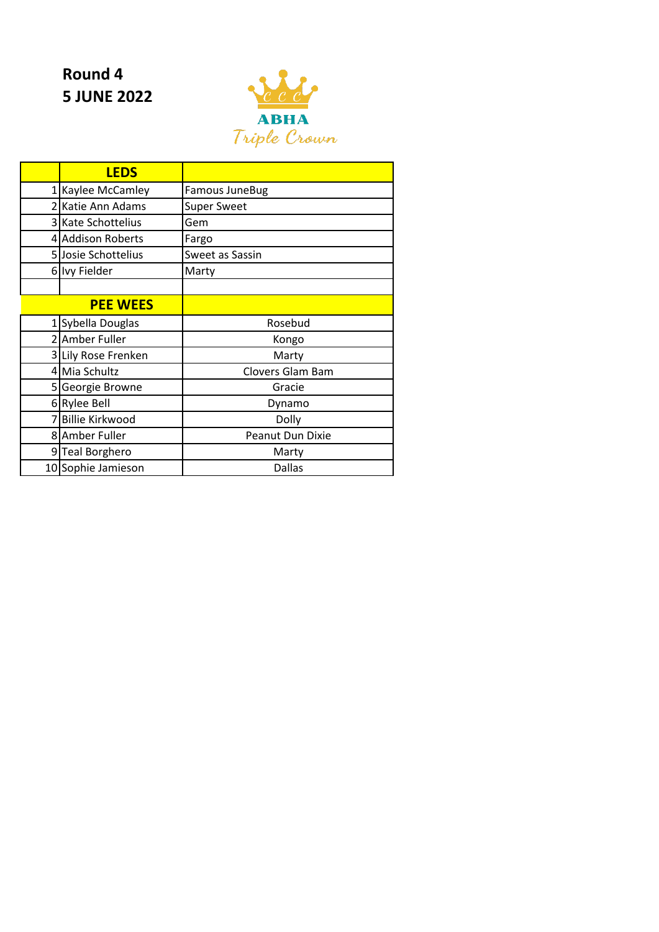## **Round 4 5 JUNE 2022**



|                | <b>LEDS</b>             |                       |
|----------------|-------------------------|-----------------------|
| $1\vert$       | Kaylee McCamley         | <b>Famous JuneBug</b> |
|                | 2 Katie Ann Adams       | <b>Super Sweet</b>    |
| $\overline{3}$ | <b>Kate Schottelius</b> | Gem                   |
| 41             | <b>Addison Roberts</b>  | Fargo                 |
|                | 5 Josie Schottelius     | Sweet as Sassin       |
|                | 6 Ivy Fielder           | Marty                 |
|                |                         |                       |
|                | <b>PEE WEES</b>         |                       |
|                | Sybella Douglas         | Rosebud               |
|                | 2 Amber Fuller          | Kongo                 |
|                | 3 Lily Rose Frenken     | Marty                 |
|                | 4 Mia Schultz           | Clovers Glam Bam      |
|                | 5 Georgie Browne        | Gracie                |
|                | 6 Rylee Bell            | Dynamo                |
|                | <b>Billie Kirkwood</b>  | Dolly                 |
|                | 8 Amber Fuller          | Peanut Dun Dixie      |
| 91             | <b>Teal Borghero</b>    | Marty                 |
|                | 10 Sophie Jamieson      | <b>Dallas</b>         |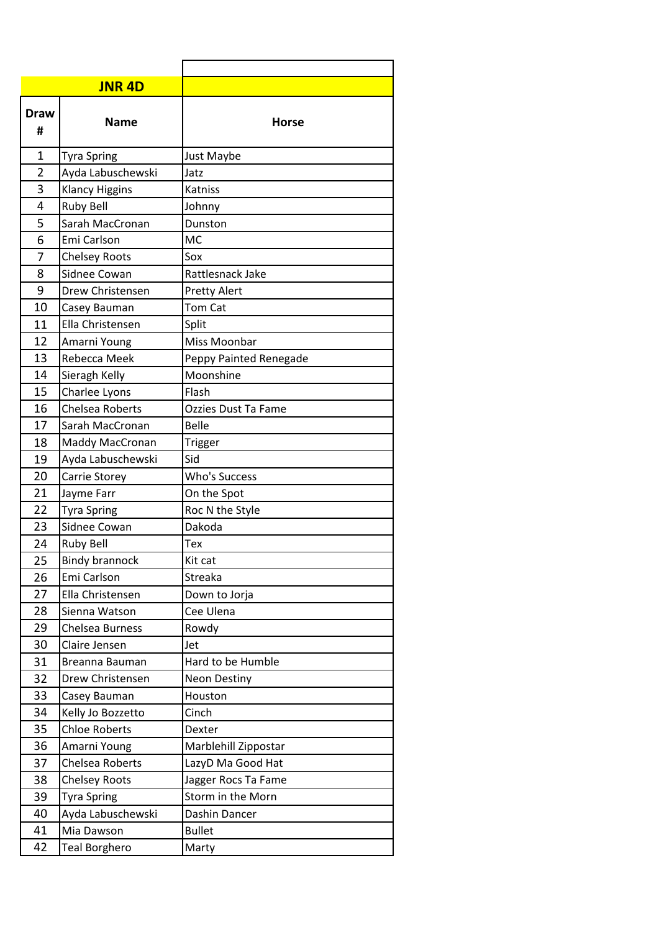|                  | <b>JNR 4D</b>         |                        |
|------------------|-----------------------|------------------------|
| <b>Draw</b><br># | <b>Name</b>           | <b>Horse</b>           |
| 1                | <b>Tyra Spring</b>    | Just Maybe             |
| $\overline{2}$   | Ayda Labuschewski     | Jatz                   |
| 3                | <b>Klancy Higgins</b> | Katniss                |
| 4                | <b>Ruby Bell</b>      | Johnny                 |
| 5                | Sarah MacCronan       | Dunston                |
| 6                | Emi Carlson           | <b>MC</b>              |
| 7                | <b>Chelsey Roots</b>  | Sox                    |
| 8                | Sidnee Cowan          | Rattlesnack Jake       |
| 9                | Drew Christensen      | <b>Pretty Alert</b>    |
| 10               | Casey Bauman          | <b>Tom Cat</b>         |
| 11               | Ella Christensen      | Split                  |
| 12               | Amarni Young          | Miss Moonbar           |
| 13               | Rebecca Meek          | Peppy Painted Renegade |
| 14               | Sieragh Kelly         | Moonshine              |
| 15               | Charlee Lyons         | Flash                  |
| 16               | Chelsea Roberts       | Ozzies Dust Ta Fame    |
| 17               | Sarah MacCronan       | <b>Belle</b>           |
| 18               | Maddy MacCronan       | Trigger                |
| 19               | Ayda Labuschewski     | Sid                    |
| 20               | Carrie Storey         | Who's Success          |
| 21               | Jayme Farr            | On the Spot            |
| 22               | <b>Tyra Spring</b>    | Roc N the Style        |
| 23               | Sidnee Cowan          | Dakoda                 |
| 24               | <b>Ruby Bell</b>      | Tex                    |
| 25               | <b>Bindy brannock</b> | Kit cat                |
| 26               | Emi Carlson           | Streaka                |
| 27               | Ella Christensen      | Down to Jorja          |
| 28               | Sienna Watson         | Cee Ulena              |
| 29               | Chelsea Burness       | Rowdy                  |
| 30               | Claire Jensen         | Jet                    |
| 31               | Breanna Bauman        | Hard to be Humble      |
| 32               | Drew Christensen      | <b>Neon Destiny</b>    |
| 33               | Casey Bauman          | Houston                |
| 34               | Kelly Jo Bozzetto     | Cinch                  |
| 35               | <b>Chloe Roberts</b>  | Dexter                 |
| 36               | Amarni Young          | Marblehill Zippostar   |
| 37               | Chelsea Roberts       | LazyD Ma Good Hat      |
| 38               | <b>Chelsey Roots</b>  | Jagger Rocs Ta Fame    |
| 39               | <b>Tyra Spring</b>    | Storm in the Morn      |
| 40               | Ayda Labuschewski     | Dashin Dancer          |
| 41               | Mia Dawson            | <b>Bullet</b>          |
| 42               | <b>Teal Borghero</b>  | Marty                  |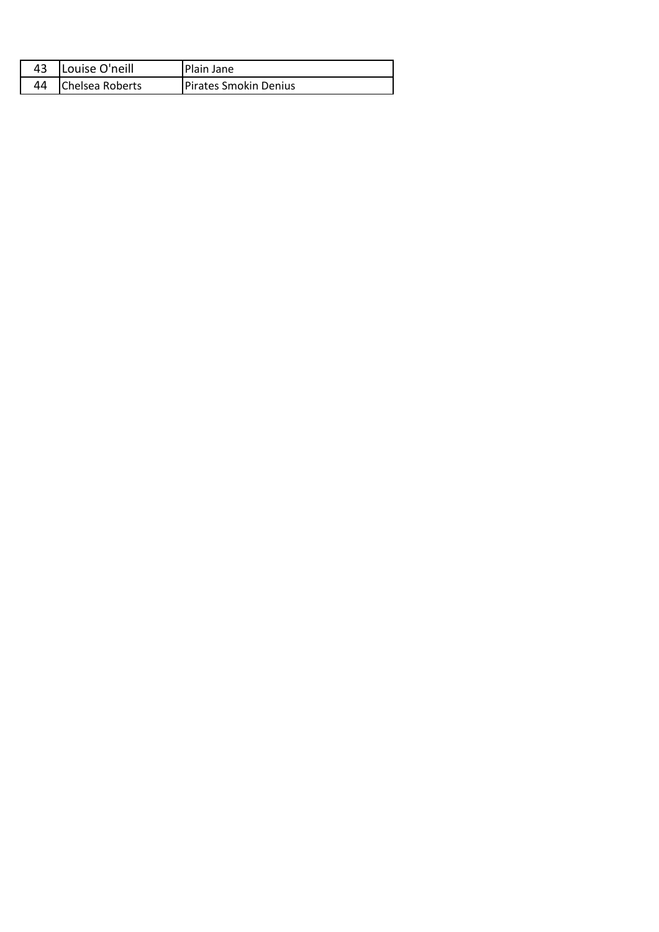| 43 | Louise O'neill  | Plain Jane                   |
|----|-----------------|------------------------------|
| 44 | Chelsea Roberts | <b>Pirates Smokin Denius</b> |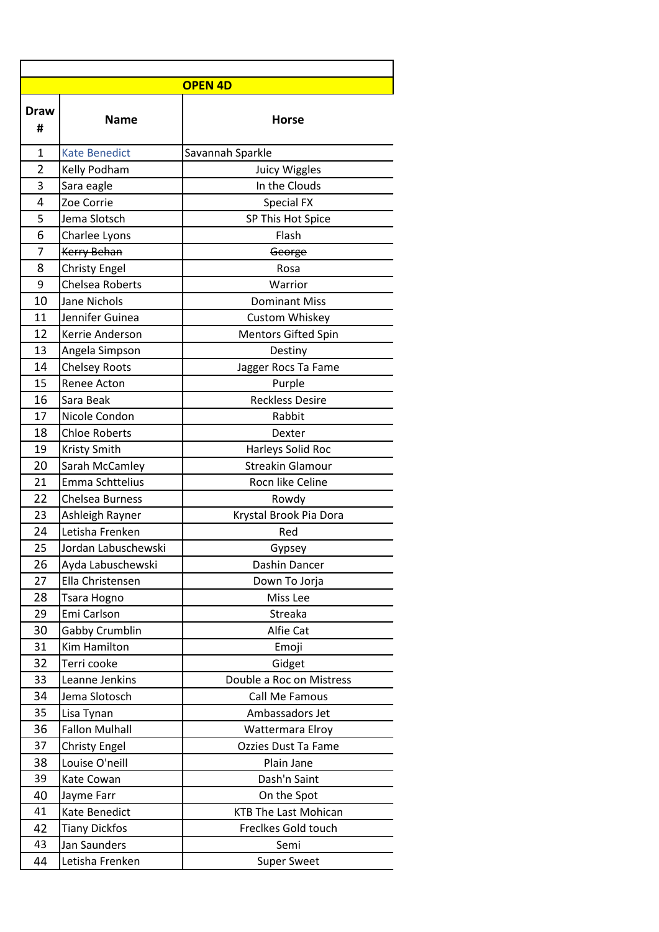| <b>OPEN 4D</b>   |                       |                             |
|------------------|-----------------------|-----------------------------|
| <b>Draw</b><br># | <b>Name</b>           | <b>Horse</b>                |
| 1                | <b>Kate Benedict</b>  | Savannah Sparkle            |
| 2                | Kelly Podham          | <b>Juicy Wiggles</b>        |
| 3                | Sara eagle            | In the Clouds               |
| 4                | Zoe Corrie            | <b>Special FX</b>           |
| 5                | Jema Slotsch          | SP This Hot Spice           |
| 6                | Charlee Lyons         | Flash                       |
| 7                | <b>Kerry Behan</b>    | George                      |
| 8                | <b>Christy Engel</b>  | Rosa                        |
| 9                | Chelsea Roberts       | Warrior                     |
| 10               | Jane Nichols          | <b>Dominant Miss</b>        |
| 11               | Jennifer Guinea       | Custom Whiskey              |
| 12               | Kerrie Anderson       | <b>Mentors Gifted Spin</b>  |
| 13               | Angela Simpson        | Destiny                     |
| 14               | <b>Chelsey Roots</b>  | Jagger Rocs Ta Fame         |
| 15               | <b>Renee Acton</b>    | Purple                      |
| 16               | Sara Beak             | <b>Reckless Desire</b>      |
| 17               | Nicole Condon         | Rabbit                      |
| 18               | <b>Chloe Roberts</b>  | Dexter                      |
| 19               | <b>Kristy Smith</b>   | Harleys Solid Roc           |
| 20               | Sarah McCamley        | <b>Streakin Glamour</b>     |
| 21               | Emma Schttelius       | Rocn like Celine            |
| 22               | Chelsea Burness       | Rowdy                       |
| 23               | Ashleigh Rayner       | Krystal Brook Pia Dora      |
| 24               | Letisha Frenken       | Red                         |
| 25               | Jordan Labuschewski   | Gypsey                      |
| 26               | Ayda Labuschewski     | Dashin Dancer               |
| 27               | Ella Christensen      | Down To Jorja               |
| 28               | Tsara Hogno           | Miss Lee                    |
| 29               | Emi Carlson           | Streaka                     |
| 30               | Gabby Crumblin        | Alfie Cat                   |
| 31               | Kim Hamilton          | Emoji                       |
| 32               | Terri cooke           | Gidget                      |
| 33               | Leanne Jenkins        | Double a Roc on Mistress    |
| 34               | Jema Slotosch         | Call Me Famous              |
| 35               | Lisa Tynan            | Ambassadors Jet             |
| 36               | <b>Fallon Mulhall</b> | Wattermara Elroy            |
| 37               | <b>Christy Engel</b>  | Ozzies Dust Ta Fame         |
| 38               | Louise O'neill        | Plain Jane                  |
| 39               | Kate Cowan            | Dash'n Saint                |
| 40               | Jayme Farr            | On the Spot                 |
| 41               | Kate Benedict         | <b>KTB The Last Mohican</b> |
| 42               | <b>Tiany Dickfos</b>  | Freclkes Gold touch         |
| 43               | Jan Saunders          | Semi                        |
| 44               | Letisha Frenken       | <b>Super Sweet</b>          |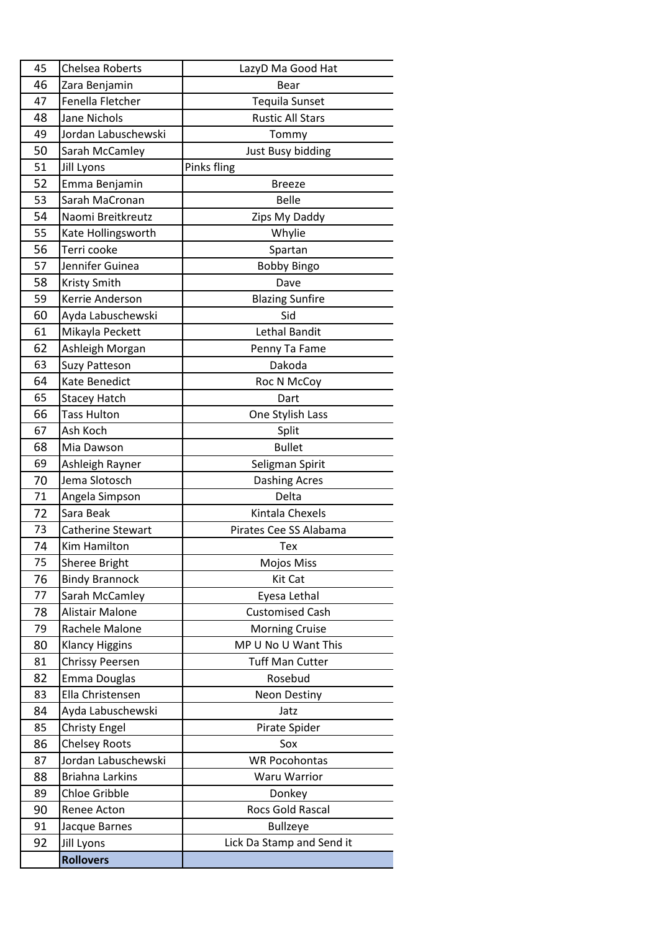| 45 | Chelsea Roberts          | LazyD Ma Good Hat         |
|----|--------------------------|---------------------------|
| 46 | Zara Benjamin            | Bear                      |
| 47 | Fenella Fletcher         | <b>Tequila Sunset</b>     |
| 48 | Jane Nichols             | <b>Rustic All Stars</b>   |
| 49 | Jordan Labuschewski      | Tommy                     |
| 50 | Sarah McCamley           | Just Busy bidding         |
| 51 | Jill Lyons               | Pinks fling               |
| 52 | Emma Benjamin            | <b>Breeze</b>             |
| 53 | Sarah MaCronan           | <b>Belle</b>              |
| 54 | Naomi Breitkreutz        | Zips My Daddy             |
| 55 | Kate Hollingsworth       | Whylie                    |
| 56 | Terri cooke              | Spartan                   |
| 57 | Jennifer Guinea          | <b>Bobby Bingo</b>        |
| 58 | <b>Kristy Smith</b>      | Dave                      |
| 59 | Kerrie Anderson          | <b>Blazing Sunfire</b>    |
| 60 | Ayda Labuschewski        | Sid                       |
| 61 | Mikayla Peckett          | Lethal Bandit             |
| 62 | Ashleigh Morgan          | Penny Ta Fame             |
| 63 | <b>Suzy Patteson</b>     | Dakoda                    |
| 64 | Kate Benedict            | Roc N McCoy               |
| 65 | <b>Stacey Hatch</b>      | Dart                      |
| 66 | <b>Tass Hulton</b>       | One Stylish Lass          |
| 67 | Ash Koch                 | Split                     |
| 68 | Mia Dawson               | <b>Bullet</b>             |
| 69 | Ashleigh Rayner          | Seligman Spirit           |
| 70 | Jema Slotosch            | <b>Dashing Acres</b>      |
| 71 | Angela Simpson           | Delta                     |
| 72 | Sara Beak                | Kintala Chexels           |
| 73 | <b>Catherine Stewart</b> | Pirates Cee SS Alabama    |
| 74 | Kim Hamilton             | Tex                       |
| 75 | Sheree Bright            | Mojos Miss                |
| 76 | <b>Bindy Brannock</b>    | Kit Cat                   |
| 77 | Sarah McCamley           | Eyesa Lethal              |
| 78 | Alistair Malone          | <b>Customised Cash</b>    |
| 79 | Rachele Malone           | <b>Morning Cruise</b>     |
| 80 | <b>Klancy Higgins</b>    | MP U No U Want This       |
| 81 | Chrissy Peersen          | <b>Tuff Man Cutter</b>    |
| 82 | Emma Douglas             | Rosebud                   |
| 83 | Ella Christensen         | <b>Neon Destiny</b>       |
| 84 | Ayda Labuschewski        | Jatz                      |
| 85 | <b>Christy Engel</b>     | Pirate Spider             |
| 86 | <b>Chelsey Roots</b>     | Sox                       |
| 87 | Jordan Labuschewski      | <b>WR Pocohontas</b>      |
| 88 | <b>Briahna Larkins</b>   | Waru Warrior              |
| 89 | <b>Chloe Gribble</b>     | Donkey                    |
| 90 | Renee Acton              | Rocs Gold Rascal          |
| 91 | Jacque Barnes            | <b>Bullzeye</b>           |
| 92 | Jill Lyons               | Lick Da Stamp and Send it |
|    | <b>Rollovers</b>         |                           |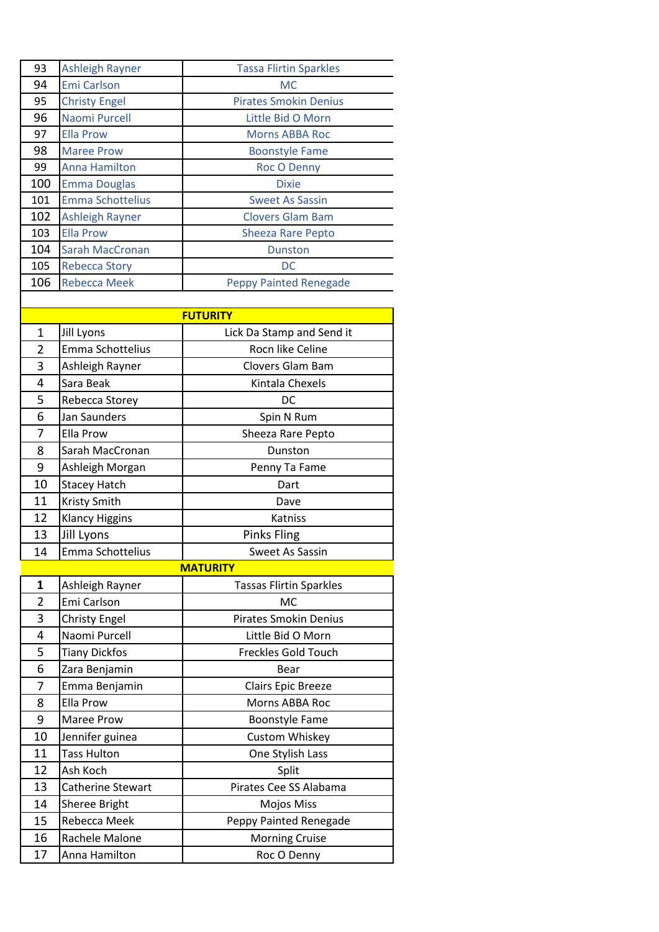| 93             | <b>Ashleigh Rayner</b>  | <b>Tassa Flirtin Sparkles</b>  |
|----------------|-------------------------|--------------------------------|
| 94             | <b>Emi Carlson</b>      | <b>MC</b>                      |
| 95             | <b>Christy Engel</b>    | <b>Pirates Smokin Denius</b>   |
| 96             | Naomi Purcell           | Little Bid O Morn              |
| 97             | <b>Ella Prow</b>        | <b>Morns ABBA Roc</b>          |
| 98             | <b>Maree Prow</b>       | <b>Boonstyle Fame</b>          |
| 99             | <b>Anna Hamilton</b>    | Roc O Denny                    |
| 100            | <b>Emma Douglas</b>     | <b>Dixie</b>                   |
| 101            | <b>Emma Schottelius</b> | <b>Sweet As Sassin</b>         |
| 102            | <b>Ashleigh Rayner</b>  | <b>Clovers Glam Bam</b>        |
| 103            | <b>Ella Prow</b>        | <b>Sheeza Rare Pepto</b>       |
| 104            | <b>Sarah MacCronan</b>  | <b>Dunston</b>                 |
| 105            | <b>Rebecca Story</b>    | DC                             |
| 106            | <b>Rebecca Meek</b>     | <b>Peppy Painted Renegade</b>  |
|                |                         |                                |
|                |                         | <b>FUTURITY</b>                |
| 1              | Jill Lyons              | Lick Da Stamp and Send it      |
| $\overline{2}$ | Emma Schottelius        | Rocn like Celine               |
| 3              | Ashleigh Rayner         | <b>Clovers Glam Bam</b>        |
| 4              | Sara Beak               | Kintala Chexels                |
| 5              | Rebecca Storey          | DC                             |
| 6              | Jan Saunders            | Spin N Rum                     |
| 7              | Ella Prow               | Sheeza Rare Pepto              |
| 8              | Sarah MacCronan         | Dunston                        |
|                |                         |                                |
| 9              | Ashleigh Morgan         | Penny Ta Fame                  |
| 10             | <b>Stacey Hatch</b>     | Dart                           |
| 11             | Kristy Smith            | Dave                           |
| 12             | <b>Klancy Higgins</b>   | Katniss                        |
| 13             | Jill Lyons              | <b>Pinks Fling</b>             |
| 14             | Emma Schottelius        | <b>Sweet As Sassin</b>         |
|                |                         | <b>MATURITY</b>                |
| 1              | Ashleigh Rayner         | <b>Tassas Flirtin Sparkles</b> |
| $\overline{2}$ | Emi Carlson             | <b>MC</b>                      |
| 3              | <b>Christy Engel</b>    | <b>Pirates Smokin Denius</b>   |
| 4              | Naomi Purcell           | Little Bid O Morn              |
| 5              | <b>Tiany Dickfos</b>    | <b>Freckles Gold Touch</b>     |
| 6              | Zara Benjamin           | Bear                           |
| 7              | Emma Benjamin           | Clairs Epic Breeze             |
| 8              | <b>Ella Prow</b>        | Morns ABBA Roc                 |
| 9              | Maree Prow              | <b>Boonstyle Fame</b>          |
| 10             | Jennifer guinea         | Custom Whiskey                 |
| 11             | <b>Tass Hulton</b>      | One Stylish Lass               |
| 12             | Ash Koch                | Split                          |
| 13             | Catherine Stewart       | Pirates Cee SS Alabama         |
| 14             | Sheree Bright           | Mojos Miss                     |
| 15             | Rebecca Meek            |                                |
|                |                         | Peppy Painted Renegade         |
| 16             | Rachele Malone          | <b>Morning Cruise</b>          |
| 17             | Anna Hamilton           | Roc O Denny                    |